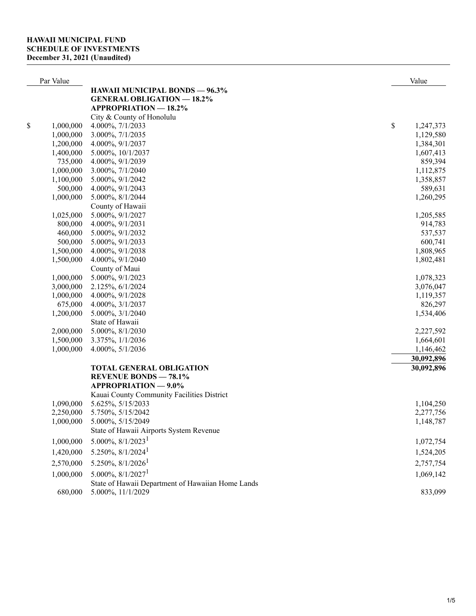| Par Value       |                                                   | Value           |
|-----------------|---------------------------------------------------|-----------------|
|                 | <b>HAWAII MUNICIPAL BONDS - 96.3%</b>             |                 |
|                 | <b>GENERAL OBLIGATION - 18.2%</b>                 |                 |
|                 | <b>APPROPRIATION - 18.2%</b>                      |                 |
|                 | City & County of Honolulu                         |                 |
| \$<br>1,000,000 | 4.000%, 7/1/2033                                  | \$<br>1,247,373 |
| 1,000,000       | 3.000%, 7/1/2035                                  | 1,129,580       |
| 1,200,000       | 4.000%, 9/1/2037                                  | 1,384,301       |
| 1,400,000       | 5.000%, 10/1/2037                                 | 1,607,413       |
| 735,000         | 4.000%, 9/1/2039                                  | 859,394         |
| 1,000,000       | 3.000%, 7/1/2040                                  | 1,112,875       |
| 1,100,000       | 5.000%, 9/1/2042                                  | 1,358,857       |
| 500,000         | 4.000%, 9/1/2043                                  | 589,631         |
| 1,000,000       | 5.000%, 8/1/2044                                  | 1,260,295       |
|                 | County of Hawaii                                  |                 |
| 1,025,000       | 5.000%, 9/1/2027                                  | 1,205,585       |
| 800,000         | 4.000%, 9/1/2031                                  | 914,783         |
| 460,000         | 5.000%, 9/1/2032                                  | 537,537         |
| 500,000         | 5.000%, 9/1/2033                                  | 600,741         |
| 1,500,000       | 4.000%, 9/1/2038                                  | 1,808,965       |
| 1,500,000       | 4.000%, 9/1/2040                                  | 1,802,481       |
|                 | County of Maui                                    |                 |
| 1,000,000       | 5.000%, 9/1/2023                                  | 1,078,323       |
| 3,000,000       | 2.125%, 6/1/2024                                  | 3,076,047       |
| 1,000,000       | 4.000%, 9/1/2028                                  | 1,119,357       |
| 675,000         | 4.000%, 3/1/2037                                  | 826,297         |
| 1,200,000       | 5.000%, 3/1/2040                                  | 1,534,406       |
|                 | State of Hawaii                                   |                 |
| 2,000,000       | 5.000%, 8/1/2030                                  | 2,227,592       |
| 1,500,000       | 3.375%, 1/1/2036                                  | 1,664,601       |
| 1,000,000       | 4.000%, 5/1/2036                                  | 1,146,462       |
|                 |                                                   | 30,092,896      |
|                 | <b>TOTAL GENERAL OBLIGATION</b>                   | 30,092,896      |
|                 | <b>REVENUE BONDS - 78.1%</b>                      |                 |
|                 | <b>APPROPRIATION - 9.0%</b>                       |                 |
|                 | Kauai County Community Facilities District        |                 |
| 1,090,000       | 5.625%, 5/15/2033                                 | 1,104,250       |
| 2,250,000       | 5.750%, 5/15/2042                                 | 2,277,756       |
| 1,000,000       | 5.000%, 5/15/2049                                 | 1,148,787       |
|                 | State of Hawaii Airports System Revenue           |                 |
| 1,000,000       | $5.000\%$ , $8/1/2023$ <sup>1</sup>               | 1,072,754       |
|                 |                                                   |                 |
| 1,420,000       | $5.250\%$ , $8/1/2024$ <sup>1</sup>               | 1,524,205       |
| 2,570,000       | $5.250\%, 8/1/2026$ <sup>1</sup>                  | 2,757,754       |
| 1,000,000       | $5.000\%$ , $8/1/2027$ <sup>1</sup>               | 1,069,142       |
|                 | State of Hawaii Department of Hawaiian Home Lands |                 |
| 680,000         | 5.000%, 11/1/2029                                 | 833,099         |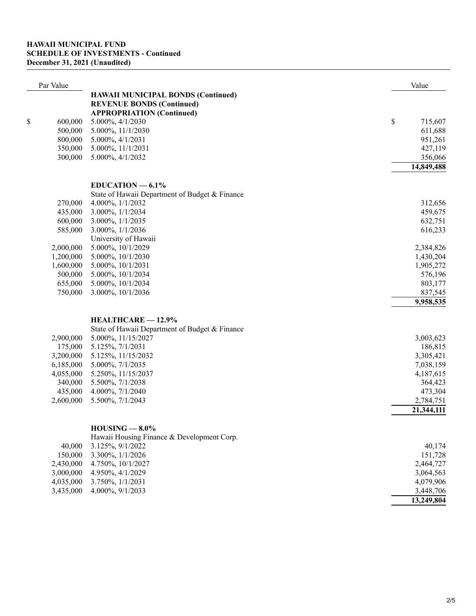| Par Value     |                                                                      | Value                   |
|---------------|----------------------------------------------------------------------|-------------------------|
|               | <b>HAWAII MUNICIPAL BONDS (Continued)</b>                            |                         |
|               | <b>REVENUE BONDS (Continued)</b><br><b>APPROPRIATION (Continued)</b> |                         |
| \$<br>600,000 | 5.000%, 4/1/2030                                                     | \$<br>715,607           |
| 500,000       | 5.000%, 11/1/2030                                                    | 611,688                 |
| 800,000       | 5.000%, 4/1/2031                                                     | 951,261                 |
| 350,000       | 5.000%, 11/1/2031                                                    | 427,119                 |
| 300,000       | 5.000%, 4/1/2032                                                     | 356,066                 |
|               |                                                                      | 14,849,488              |
|               | $EDUCATION - 6.1%$                                                   |                         |
|               | State of Hawaii Department of Budget & Finance                       |                         |
| 270,000       | 4.000%, $1/1/2032$                                                   | 312,656                 |
| 435,000       | 3.000%, 1/1/2034                                                     | 459,675                 |
| 600,000       | 3.000%, 1/1/2035                                                     | 632,751                 |
| 585,000       | 3.000%, 1/1/2036                                                     | 616,233                 |
|               | University of Hawaii                                                 |                         |
| 2,000,000     | 5.000%, 10/1/2029                                                    | 2,384,826               |
| 1,200,000     | 5.000%, 10/1/2030                                                    | 1,430,204               |
| 1,600,000     | 5.000%, 10/1/2031                                                    | 1,905,272               |
| 500,000       | 5.000%, 10/1/2034                                                    | 576,196                 |
| 655,000       | 5.000%, 10/1/2034                                                    | 803,177                 |
| 750,000       | 3.000%, 10/1/2036                                                    | 837,545                 |
|               |                                                                      |                         |
|               |                                                                      | 9,958,535               |
|               | HEALTHCARE - 12.9%                                                   |                         |
|               | State of Hawaii Department of Budget & Finance                       |                         |
| 2,900,000     | 5.000%, 11/15/2027                                                   | 3,003,623               |
| 175,000       | 5.125%, 7/1/2031                                                     | 186,815                 |
| 3,200,000     | 5.125%, 11/15/2032                                                   | 3,305,421               |
| 6,185,000     | 5.000%, 7/1/2035                                                     | 7,038,159               |
| 4,055,000     | 5.250%, 11/15/2037                                                   | 4,187,615               |
| 340,000       | 5.500%, 7/1/2038                                                     | 364,423                 |
| 435,000       | 4.000%, 7/1/2040                                                     | 473,304                 |
| 2,600,000     | 5.500%, 7/1/2043                                                     | 2,784,751               |
|               |                                                                      | $\overline{21,}344,111$ |
|               | $HOUSING - 8.0\%$                                                    |                         |
|               | Hawaii Housing Finance & Development Corp.                           |                         |
| 40,000        | 3.125%, 9/1/2022                                                     | 40,174                  |
| 150,000       | 3.300%, 1/1/2026                                                     | 151,728                 |
| 2,430,000     | 4.750%, 10/1/2027                                                    | 2,464,727               |
| 3,000,000     | 4.950%, 4/1/2029                                                     | 3,064,563               |
| 4,035,000     | 3.750%, 1/1/2031                                                     | 4,079,906               |
| 3,435,000     | 4.000%, 9/1/2033                                                     | 3,448,706               |
|               |                                                                      | 13,249,804              |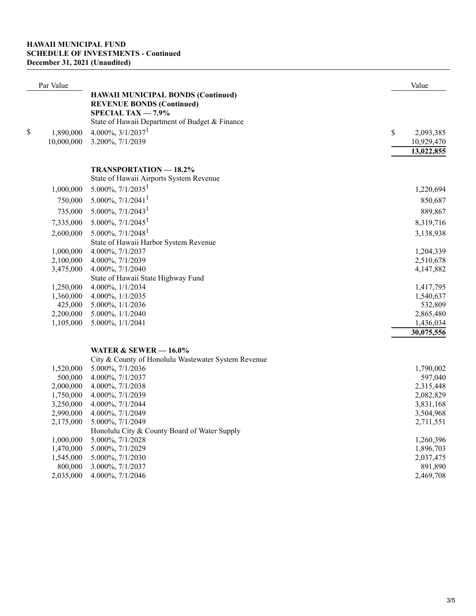## **HAWAII MUNICIPAL FUND SCHEDULE OF INVESTMENTS - Continued December 31, 2021 (Unaudited)**

| Par Value                     |                                                                                                                                                                                                      | Value                                       |
|-------------------------------|------------------------------------------------------------------------------------------------------------------------------------------------------------------------------------------------------|---------------------------------------------|
| \$<br>1,890,000<br>10,000,000 | <b>HAWAII MUNICIPAL BONDS (Continued)</b><br><b>REVENUE BONDS (Continued)</b><br>SPECIAL TAX $-7.9\%$<br>State of Hawaii Department of Budget & Finance<br>$4.000\%, 3/1/2037^1$<br>3.200%, 7/1/2039 | \$<br>2,093,385<br>10,929,470<br>13,022,855 |
|                               | TRANSPORTATION - 18.2%                                                                                                                                                                               |                                             |
|                               | State of Hawaii Airports System Revenue                                                                                                                                                              |                                             |
| 1,000,000                     | $5.000\%, 7/1/2035^1$                                                                                                                                                                                | 1,220,694                                   |
| 750,000                       | 5.000%, $7/1/2041$ <sup>1</sup>                                                                                                                                                                      | 850,687                                     |
|                               | 5.000%, $7/1/2043$ <sup>1</sup>                                                                                                                                                                      |                                             |
| 735,000                       |                                                                                                                                                                                                      | 889,867                                     |
| 7,335,000                     | 5.000%, $7/1/2045$ <sup>1</sup>                                                                                                                                                                      | 8,319,716                                   |
| 2,600,000                     | 5.000%, $7/1/2048$ <sup>1</sup>                                                                                                                                                                      | 3,138,938                                   |
|                               | State of Hawaii Harbor System Revenue                                                                                                                                                                |                                             |
| 1,000,000                     | 4.000%, 7/1/2037                                                                                                                                                                                     | 1,204,339                                   |
| 2,100,000<br>3,475,000        | 4.000%, 7/1/2039<br>4.000%, 7/1/2040                                                                                                                                                                 | 2,510,678<br>4,147,882                      |
|                               | State of Hawaii State Highway Fund                                                                                                                                                                   |                                             |
| 1,250,000                     | 4.000%, 1/1/2034                                                                                                                                                                                     | 1,417,795                                   |
| 1,360,000                     | 4.000%, $1/1/2035$                                                                                                                                                                                   | 1,540,637                                   |
| 425,000                       | 5.000%, 1/1/2036                                                                                                                                                                                     | 532,809                                     |
| 2,200,000                     | 5.000%, 1/1/2040                                                                                                                                                                                     | 2,865,480                                   |
| 1,105,000                     | 5.000%, 1/1/2041                                                                                                                                                                                     | 1,436,034                                   |
|                               |                                                                                                                                                                                                      | 30,075,556                                  |
|                               | WATER $&$ SEWER $-$ 16.0%                                                                                                                                                                            |                                             |
|                               | City & County of Honolulu Wastewater System Revenue                                                                                                                                                  |                                             |
| 1,520,000                     | 5.000%, 7/1/2036                                                                                                                                                                                     | 1,790,002                                   |

| 1,320,000 | J.00070, 11120J0                             | 1,170,002 |
|-----------|----------------------------------------------|-----------|
| 500,000   | 4.000%, 7/1/2037                             | 597,040   |
| 2,000,000 | $4.000\%$ , $7/1/2038$                       | 2,315,448 |
| 1,750,000 | 4.000\%, 7/1/2039                            | 2,082,829 |
| 3,250,000 | $4.000\%$ , $7/1/2044$                       | 3,831,168 |
| 2,990,000 | $4.000\%$ , $7/1/2049$                       | 3,504,968 |
| 2,175,000 | 5.000\%, 7/1/2049                            | 2,711,551 |
|           | Honolulu City & County Board of Water Supply |           |
| 1,000,000 | 5.000\%, 7/1/2028                            | 1,260,396 |
| 1,470,000 | 5.000\%, 7/1/2029                            | 1,896,703 |
| 1,545,000 | 5.000%, 7/1/2030                             | 2,037,475 |
| 800,000   | 3.000%, 7/1/2037                             | 891,890   |
| 2,035,000 | 4.000\%, 7/1/2046                            | 2,469,708 |
|           |                                              |           |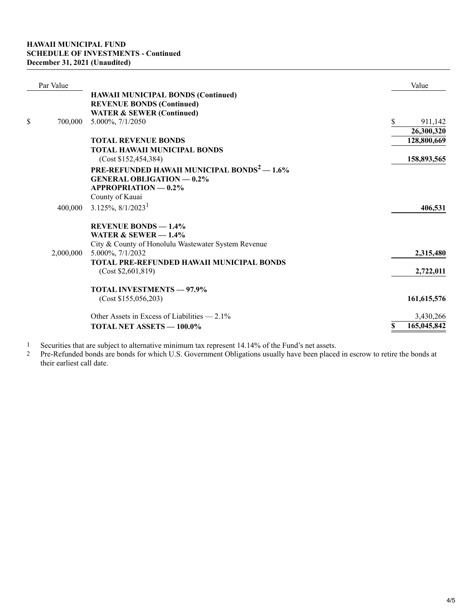| Par Value     |                                                         | Value             |
|---------------|---------------------------------------------------------|-------------------|
|               | <b>HAWAII MUNICIPAL BONDS (Continued)</b>               |                   |
|               | <b>REVENUE BONDS (Continued)</b>                        |                   |
|               | <b>WATER &amp; SEWER (Continued)</b>                    |                   |
| \$<br>700,000 | 5.000%, 7/1/2050                                        | \$<br>911,142     |
|               |                                                         | 26,300,320        |
|               | <b>TOTAL REVENUE BONDS</b>                              | 128,800,669       |
|               | <b>TOTAL HAWAII MUNICIPAL BONDS</b>                     |                   |
|               | (Cost \$152,454,384)                                    | 158,893,565       |
|               | PRE-REFUNDED HAWAII MUNICIPAL BONDS <sup>2</sup> - 1.6% |                   |
|               | <b>GENERAL OBLIGATION - 0.2%</b>                        |                   |
|               | <b>APPROPRIATION - 0.2%</b>                             |                   |
|               | County of Kauai                                         |                   |
| 400,000       | $3.125\%, 8/1/2023^1$                                   | 406,531           |
|               | <b>REVENUE BONDS - 1.4%</b>                             |                   |
|               | WATER & SEWER $-1.4\%$                                  |                   |
|               | City & County of Honolulu Wastewater System Revenue     |                   |
| 2,000,000     | 5.000%, 7/1/2032                                        | 2,315,480         |
|               | TOTAL PRE-REFUNDED HAWAII MUNICIPAL BONDS               |                   |
|               | (Cost \$2,601,819)                                      | 2,722,011         |
|               |                                                         |                   |
|               | <b>TOTAL INVESTMENTS - 97.9%</b>                        |                   |
|               | (Cost \$155,056,203)                                    | 161,615,576       |
|               | Other Assets in Excess of Liabilities $-2.1\%$          | 3,430,266         |
|               | TOTAL NET ASSETS - 100.0%                               | 165,045,842<br>\$ |

Securities that are subject to alternative minimum tax represent 14.14% of the Fund's net assets. 1

Pre-Refunded bonds are bonds for which U.S. Government Obligations usually have been placed in escrow to retire the bonds at their earliest call date. 2